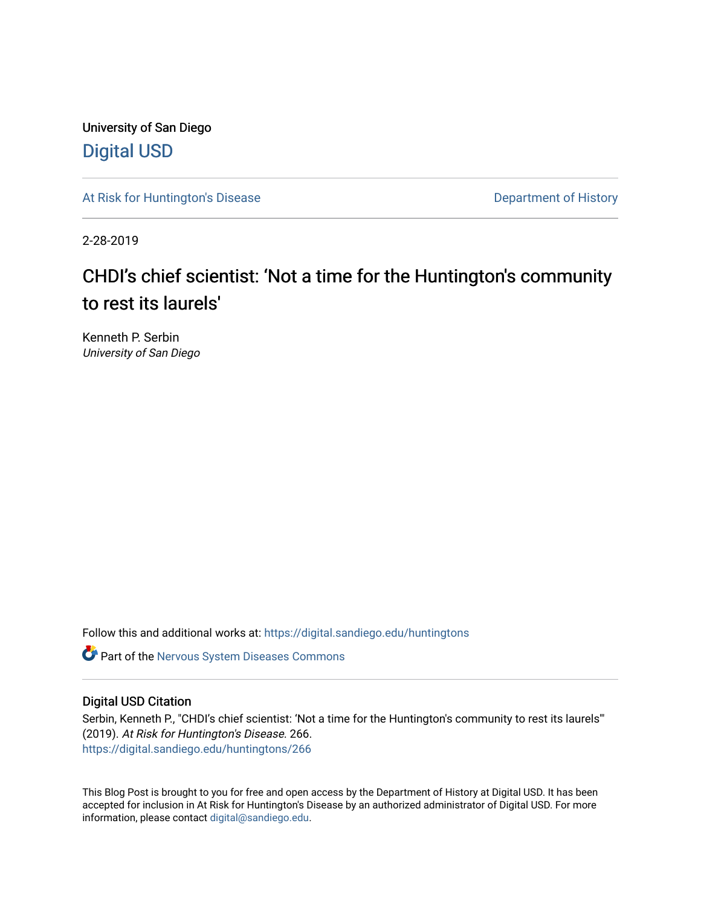University of San Diego [Digital USD](https://digital.sandiego.edu/)

[At Risk for Huntington's Disease](https://digital.sandiego.edu/huntingtons) **Department of History** Department of History

2-28-2019

# CHDI's chief scientist: 'Not a time for the Huntington's community to rest its laurels'

Kenneth P. Serbin University of San Diego

Follow this and additional works at: [https://digital.sandiego.edu/huntingtons](https://digital.sandiego.edu/huntingtons?utm_source=digital.sandiego.edu%2Fhuntingtons%2F266&utm_medium=PDF&utm_campaign=PDFCoverPages)

**C** Part of the [Nervous System Diseases Commons](http://network.bepress.com/hgg/discipline/928?utm_source=digital.sandiego.edu%2Fhuntingtons%2F266&utm_medium=PDF&utm_campaign=PDFCoverPages)

### Digital USD Citation

Serbin, Kenneth P., "CHDI's chief scientist: 'Not a time for the Huntington's community to rest its laurels'" (2019). At Risk for Huntington's Disease. 266. [https://digital.sandiego.edu/huntingtons/266](https://digital.sandiego.edu/huntingtons/266?utm_source=digital.sandiego.edu%2Fhuntingtons%2F266&utm_medium=PDF&utm_campaign=PDFCoverPages)

This Blog Post is brought to you for free and open access by the Department of History at Digital USD. It has been accepted for inclusion in At Risk for Huntington's Disease by an authorized administrator of Digital USD. For more information, please contact [digital@sandiego.edu.](mailto:digital@sandiego.edu)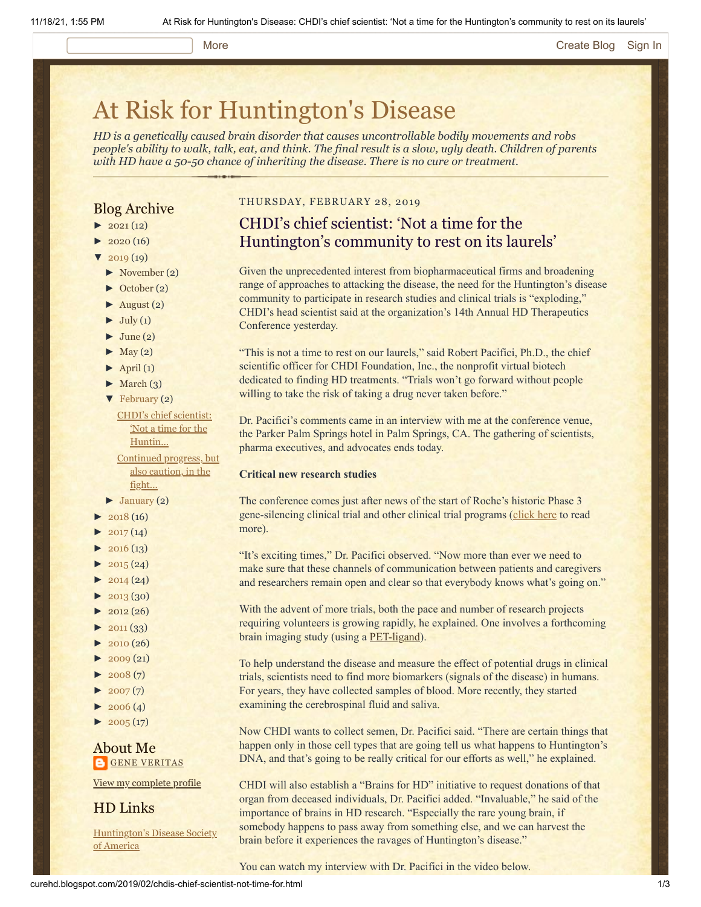#### More **[Create Blog](https://www.blogger.com/home#create) [Sign In](https://www.blogger.com/)**

# [At Risk for Huntington's Disease](http://curehd.blogspot.com/)

*HD is a genetically caused brain disorder that causes uncontrollable bodily movements and robs people's ability to walk, talk, eat, and think. The final result is a slow, ugly death. Children of parents with HD have a 50-50 chance of inheriting the disease. There is no cure or treatment.*

### Blog Archive

- $\blacktriangleright$  [2021](http://curehd.blogspot.com/2021/)(12)
- $2020(16)$  $2020(16)$
- $2019(19)$  $2019(19)$
- [►](javascript:void(0)) [November](http://curehd.blogspot.com/2019/11/) (2)
- [►](javascript:void(0)) [October](http://curehd.blogspot.com/2019/10/) (2)
- $\blacktriangleright$  [August](http://curehd.blogspot.com/2019/08/) (2)
- $\blacktriangleright$  [July](http://curehd.blogspot.com/2019/07/) (1)
- $\blacktriangleright$  [June](http://curehd.blogspot.com/2019/06/) (2)
- $\blacktriangleright$  [May](http://curehd.blogspot.com/2019/05/) (2)
- $\blacktriangleright$  [April](http://curehd.blogspot.com/2019/04/) (1)
- $\blacktriangleright$  [March](http://curehd.blogspot.com/2019/03/) (3)
- [▼](javascript:void(0)) [February](http://curehd.blogspot.com/2019/02/) (2)

CHDI's chief [scientist:](http://curehd.blogspot.com/2019/02/chdis-chief-scientist-not-time-for.html) 'Not a time for the Huntin... [Continued](http://curehd.blogspot.com/2019/02/continued-progress-but-also-caution-in.html) progress, but

also caution, in the fight...  $\blacktriangleright$  [January](http://curehd.blogspot.com/2019/01/) (2)

- $\blacktriangleright$  [2018](http://curehd.blogspot.com/2018/) (16)
- $\blacktriangleright$  [2017](http://curehd.blogspot.com/2017/) (14)
- $\blacktriangleright$  [2016](http://curehd.blogspot.com/2016/) (13)
- $\blacktriangleright$  [2015](http://curehd.blogspot.com/2015/) (24)
- $\blacktriangleright$  [2014](http://curehd.blogspot.com/2014/) (24)
- $\blacktriangleright$  [2013](http://curehd.blogspot.com/2013/) (30)
- $\blacktriangleright$  [2012](http://curehd.blogspot.com/2012/) (26)
- $\blacktriangleright$  [2011](http://curehd.blogspot.com/2011/) (33)
- $\blacktriangleright$  [2010](http://curehd.blogspot.com/2010/) (26)
- $\blacktriangleright$  [2009](http://curehd.blogspot.com/2009/) (21)
- $\blacktriangleright$  [2008](http://curehd.blogspot.com/2008/) $(7)$
- $\blacktriangleright$  [2007](http://curehd.blogspot.com/2007/) $(7)$
- $\blacktriangleright$  [2006](http://curehd.blogspot.com/2006/) (4)
- $\blacktriangleright$  [2005](http://curehd.blogspot.com/2005/) (17)

About Me **GENE [VERITAS](https://www.blogger.com/profile/10911736205741688185)** 

View my [complete](https://www.blogger.com/profile/10911736205741688185) profile

HD Links

[Huntington's](http://www.hdsa.org/) Disease Society of America

#### THURSDAY, FEBRUARY 28, 2019

## CHDI's chief scientist: 'Not a time for the Huntington's community to rest on its laurels'

Given the unprecedented interest from biopharmaceutical firms and broadening range of approaches to attacking the disease, the need for the Huntington's disease community to participate in research studies and clinical trials is "exploding," CHDI's head scientist said at the organization's 14th Annual HD Therapeutics Conference yesterday.

"This is not a time to rest on our laurels," said Robert Pacifici, Ph.D., the chief scientific officer for CHDI Foundation, Inc., the nonprofit virtual biotech dedicated to finding HD treatments. "Trials won't go forward without people willing to take the risk of taking a drug never taken before."

Dr. Pacifici's comments came in an interview with me at the conference venue, the Parker Palm Springs hotel in Palm Springs, CA. The gathering of scientists, pharma executives, and advocates ends today.

#### **Critical new research studies**

The conference comes just after news of the start of Roche's historic Phase 3 gene-silencing clinical trial and other clinical trial programs [\(click here](http://curehd.blogspot.com/2019/02/continued-progress-but-also-caution-in.html) to read more).

"It's exciting times," Dr. Pacifici observed. "Now more than ever we need to make sure that these channels of communication between patients and caregivers and researchers remain open and clear so that everybody knows what's going on."

With the advent of more trials, both the pace and number of research projects requiring volunteers is growing rapidly, he explained. One involves a forthcoming brain imaging study (using a **[PET-ligand](https://chdifoundation.org/wp-content/uploads/Huntingtin-lowering-Biomarker-Task-Force-White-Paper.pdf)**).

To help understand the disease and measure the effect of potential drugs in clinical trials, scientists need to find more biomarkers (signals of the disease) in humans. For years, they have collected samples of blood. More recently, they started examining the cerebrospinal fluid and saliva.

Now CHDI wants to collect semen, Dr. Pacifici said. "There are certain things that happen only in those cell types that are going tell us what happens to Huntington's DNA, and that's going to be really critical for our efforts as well," he explained.

CHDI will also establish a "Brains for HD" initiative to request donations of that organ from deceased individuals, Dr. Pacifici added. "Invaluable," he said of the importance of brains in HD research. "Especially the rare young brain, if somebody happens to pass away from something else, and we can harvest the brain before it experiences the ravages of Huntington's disease."

You can watch my interview with Dr. Pacifici in the video below.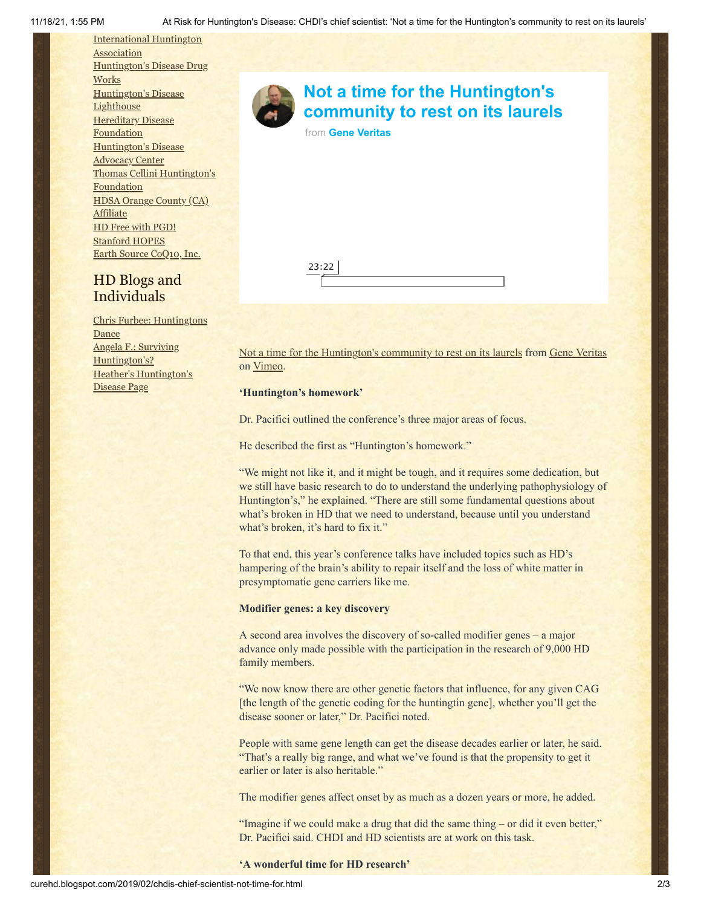[International](http://www.huntington-assoc.com/) Huntington **Association** [Huntington's](http://hddrugworks.org/) Disease Drug **Works** [Huntington's](http://www.hdlighthouse.org/) Disease **Lighthouse [Hereditary](http://www.hdfoundation.org/) Disease Foundation** [Huntington's](http://www.hdac.org/) Disease Advocacy Center Thomas [Cellini Huntington's](http://www.ourtchfoundation.org/) **Foundation** HDSA Orange County (CA) **[Affiliate](http://www.hdsaoc.org/)** HD Free with [PGD!](http://www.hdfreewithpgd.com/) [Stanford](http://www.stanford.edu/group/hopes/) HOPES Earth Source [CoQ10,](http://www.escoq10.com/) Inc.

## HD Blogs and Individuals

Chris Furbee: [Huntingtons](http://www.huntingtonsdance.org/) Dance Angela F.: Surviving [Huntington's?](http://survivinghuntingtons.blogspot.com/) Heather's [Huntington's](http://heatherdugdale.angelfire.com/) Disease Page



# **Not a time for the Huntington's [community to rest on its laurels](https://vimeo.com/320412421?embedded=true&source=video_title&owner=6019843)**

from **[Gene Veritas](https://vimeo.com/user6019843?embedded=true&source=owner_name&owner=6019843)**

23:22

[Not a time for the Huntington's community to rest on its laurels](https://vimeo.com/320412421) from [Gene Veritas](https://vimeo.com/user6019843) on [Vimeo](https://vimeo.com/).

#### **'Huntington's homework'**

Dr. Pacifici outlined the conference's three major areas of focus.

He described the first as "Huntington's homework."

"We might not like it, and it might be tough, and it requires some dedication, but we still have basic research to do to understand the underlying pathophysiology of Huntington's," he explained. "There are still some fundamental questions about what's broken in HD that we need to understand, because until you understand what's broken, it's hard to fix it."

To that end, this year's conference talks have included topics such as HD's hampering of the brain's ability to repair itself and the loss of white matter in presymptomatic gene carriers like me.

#### **Modifier genes: a key discovery**

A second area involves the discovery of so-called modifier genes – a major advance only made possible with the participation in the research of 9,000 HD family members.

"We now know there are other genetic factors that influence, for any given CAG [the length of the genetic coding for the huntingtin gene], whether you'll get the disease sooner or later," Dr. Pacifici noted.

People with same gene length can get the disease decades earlier or later, he said. "That's a really big range, and what we've found is that the propensity to get it earlier or later is also heritable."

The modifier genes affect onset by as much as a dozen years or more, he added.

"Imagine if we could make a drug that did the same thing – or did it even better," Dr. Pacifici said. CHDI and HD scientists are at work on this task.

**'A wonderful time for HD research'**